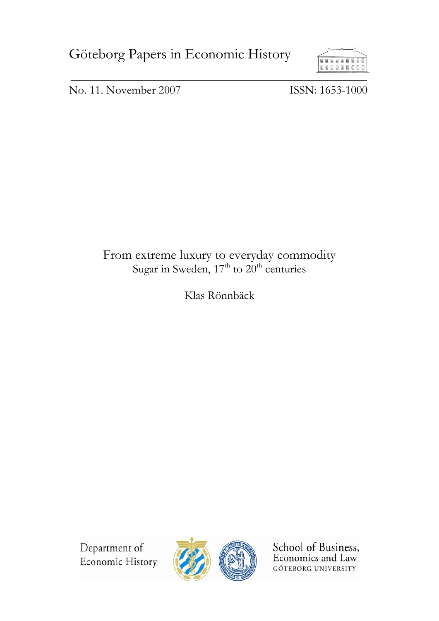Göteborg Papers in Economic History



No. 11. November 2007 ISSN: 1653-1000

# From extreme luxury to everyday commodity Sugar in Sweden,  $17<sup>th</sup>$  to  $20<sup>th</sup>$  centuries

Klas Rönnbäck

Department of Economic History





School of Business, Economics and Law **GÖTEBORG UNIVERSITY**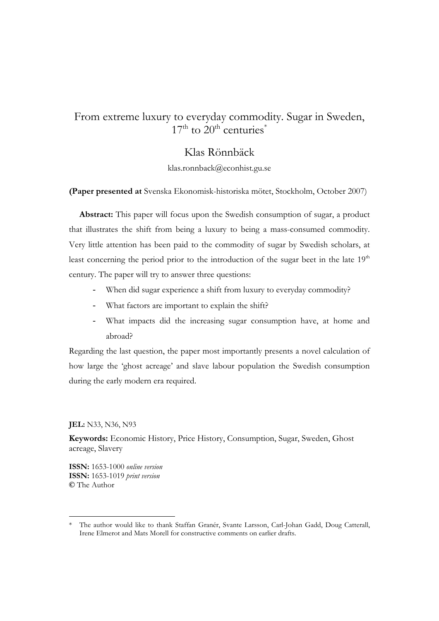# From extreme luxury to everyday commodity. Sugar in Sweden,  $17<sup>th</sup>$  to  $20<sup>th</sup>$  centuries<sup>\*</sup>

## Klas Rönnbäck

klas.ronnback@econhist.gu.se

## **(Paper presented at** Svenska Ekonomisk-historiska mötet, Stockholm, October 2007)

**Abstract:** This paper will focus upon the Swedish consumption of sugar, a product that illustrates the shift from being a luxury to being a mass-consumed commodity. Very little attention has been paid to the commodity of sugar by Swedish scholars, at least concerning the period prior to the introduction of the sugar beet in the late 19<sup>th</sup> century. The paper will try to answer three questions:

- When did sugar experience a shift from luxury to everyday commodity?
- What factors are important to explain the shift?
- What impacts did the increasing sugar consumption have, at home and abroad?

Regarding the last question, the paper most importantly presents a novel calculation of how large the 'ghost acreage' and slave labour population the Swedish consumption during the early modern era required.

**JEL:** N33, N36, N93

 $\overline{a}$ 

**Keywords:** Economic History, Price History, Consumption, Sugar, Sweden, Ghost acreage, Slavery

**ISSN:** 1653-1000 *online version* **ISSN:** 1653-1019 *print version* **©** The Author

<sup>\*</sup> The author would like to thank Staffan Granér, Svante Larsson, Carl-Johan Gadd, Doug Catterall, Irene Elmerot and Mats Morell for constructive comments on earlier drafts.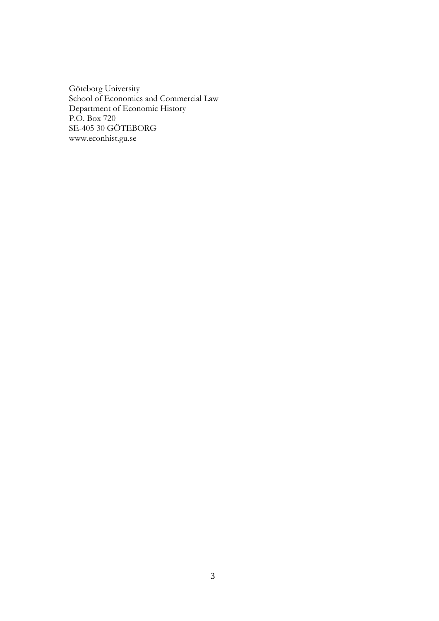Göteborg University School of Economics and Commercial Law Department of Economic History P.O. Box 720 SE-405 30 GÖTEBORG www.econhist.gu.se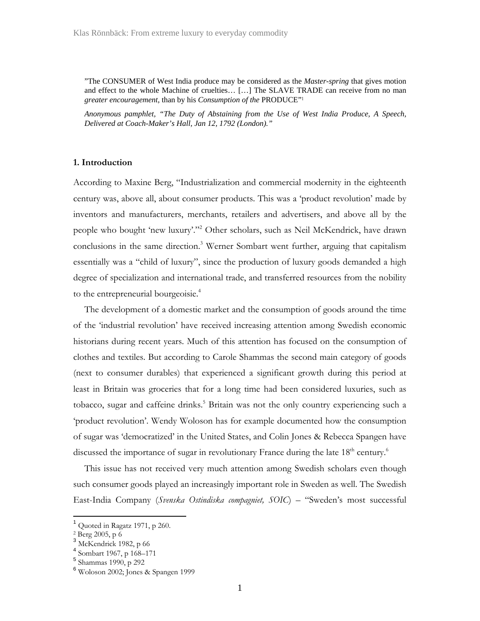"The CONSUMER of West India produce may be considered as the *Master-spring* that gives motion and effect to the whole Machine of cruelties… […] The SLAVE TRADE can receive from no man *greater encouragement*, than by his *Consumption of the* PRODUCE"<sup>1</sup>

*Anonymous pamphlet, "The Duty of Abstaining from the Use of West India Produce, A Speech, Delivered at Coach-Maker's Hall, Jan 12, 1792 (London)."* 

#### **1. Introduction**

According to Maxine Berg, "Industrialization and commercial modernity in the eighteenth century was, above all, about consumer products. This was a 'product revolution' made by inventors and manufacturers, merchants, retailers and advertisers, and above all by the people who bought 'new luxury'."2 Other scholars, such as Neil McKendrick, have drawn conclusions in the same direction.<sup>3</sup> Werner Sombart went further, arguing that capitalism essentially was a "child of luxury", since the production of luxury goods demanded a high degree of specialization and international trade, and transferred resources from the nobility to the entrepreneurial bourgeoisie.<sup>4</sup>

The development of a domestic market and the consumption of goods around the time of the 'industrial revolution' have received increasing attention among Swedish economic historians during recent years. Much of this attention has focused on the consumption of clothes and textiles. But according to Carole Shammas the second main category of goods (next to consumer durables) that experienced a significant growth during this period at least in Britain was groceries that for a long time had been considered luxuries, such as tobacco, sugar and caffeine drinks.<sup>5</sup> Britain was not the only country experiencing such a 'product revolution'. Wendy Woloson has for example documented how the consumption of sugar was 'democratized' in the United States, and Colin Jones & Rebecca Spangen have discussed the importance of sugar in revolutionary France during the late  $18<sup>th</sup>$  century.<sup>6</sup>

This issue has not received very much attention among Swedish scholars even though such consumer goods played an increasingly important role in Sweden as well. The Swedish East-India Company (*Svenska Ostindiska compagniet, SOIC*) – "Sweden's most successful

 $<sup>1</sup>$  Quoted in Ragatz 1971, p 260.</sup>

 $2$  Berg 2005, p  $6$ 

<sup>&</sup>lt;sup>3</sup> McKendrick 1982, p 66

<sup>4</sup> Sombart 1967, p 168–171

<sup>5</sup> Shammas 1990, p 292

<sup>6</sup> Woloson 2002; Jones & Spangen 1999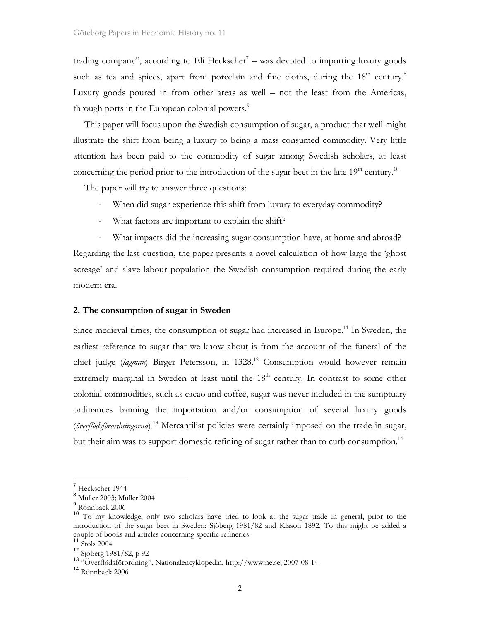trading company", according to Eli Heckscher<sup>7</sup> – was devoted to importing luxury goods such as tea and spices, apart from porcelain and fine cloths, during the  $18<sup>th</sup>$  century.<sup>8</sup> Luxury goods poured in from other areas as well – not the least from the Americas, through ports in the European colonial powers.<sup>9</sup>

This paper will focus upon the Swedish consumption of sugar, a product that well might illustrate the shift from being a luxury to being a mass-consumed commodity. Very little attention has been paid to the commodity of sugar among Swedish scholars, at least concerning the period prior to the introduction of the sugar beet in the late  $19<sup>th</sup>$  century.<sup>10</sup>

The paper will try to answer three questions:

- When did sugar experience this shift from luxury to everyday commodity?
- What factors are important to explain the shift?
- What impacts did the increasing sugar consumption have, at home and abroad?

Regarding the last question, the paper presents a novel calculation of how large the 'ghost acreage' and slave labour population the Swedish consumption required during the early modern era.

### **2. The consumption of sugar in Sweden**

Since medieval times, the consumption of sugar had increased in Europe.<sup>11</sup> In Sweden, the earliest reference to sugar that we know about is from the account of the funeral of the chief judge (*lagman*) Birger Petersson, in 1328.<sup>12</sup> Consumption would however remain extremely marginal in Sweden at least until the  $18<sup>th</sup>$  century. In contrast to some other colonial commodities, such as cacao and coffee, sugar was never included in the sumptuary ordinances banning the importation and/or consumption of several luxury goods (*överflödsförordningarna*).13 Mercantilist policies were certainly imposed on the trade in sugar, but their aim was to support domestic refining of sugar rather than to curb consumption.<sup>14</sup>

<sup>7</sup> Heckscher 1944

<sup>8</sup> Müller 2003; Müller 2004

<sup>&</sup>lt;sup>9</sup> Rönnbäck 2006

<sup>10</sup> To my knowledge, only two scholars have tried to look at the sugar trade in general, prior to the introduction of the sugar beet in Sweden: Sjöberg 1981/82 and Klason 1892. To this might be added a couple of books and articles concerning specific refineries.

 $11$  Stols 2004

<sup>12</sup> Sjöberg 1981/82, p 92<br>
<sup>13</sup> "Överflödsförordning", Nationalencyklopedin, http://www.ne.se, 2007-08-14<br>
<sup>14</sup> Rönnbäck 2006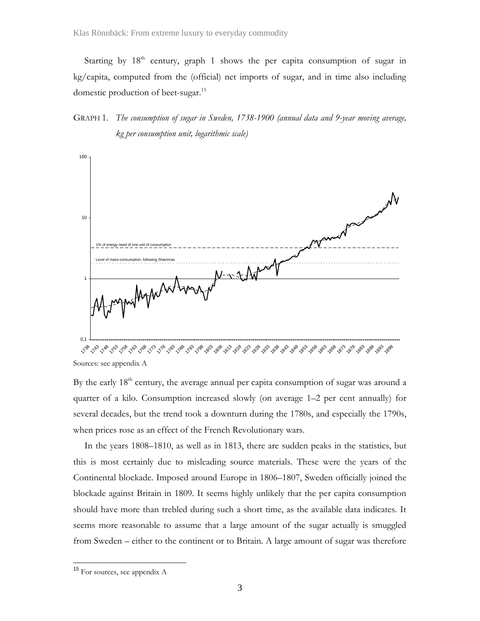Starting by 18<sup>th</sup> century, graph 1 shows the per capita consumption of sugar in kg/capita, computed from the (official) net imports of sugar, and in time also including domestic production of beet-sugar.<sup>15</sup>

GRAPH 1. *The consumption of sugar in Sweden, 1738-1900 (annual data and 9-year moving average, kg per consumption unit, logarithmic scale)*



Sources: see appendix A

By the early  $18<sup>th</sup>$  century, the average annual per capita consumption of sugar was around a quarter of a kilo. Consumption increased slowly (on average 1–2 per cent annually) for several decades, but the trend took a downturn during the 1780s, and especially the 1790s, when prices rose as an effect of the French Revolutionary wars.

In the years 1808–1810, as well as in 1813, there are sudden peaks in the statistics, but this is most certainly due to misleading source materials. These were the years of the Continental blockade. Imposed around Europe in 1806–1807, Sweden officially joined the blockade against Britain in 1809. It seems highly unlikely that the per capita consumption should have more than trebled during such a short time, as the available data indicates. It seems more reasonable to assume that a large amount of the sugar actually is smuggled from Sweden – either to the continent or to Britain. A large amount of sugar was therefore

<sup>&</sup>lt;sup>15</sup> For sources, see appendix A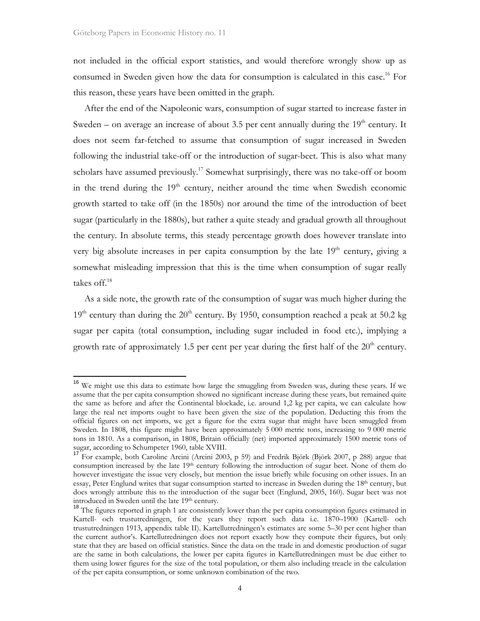$\overline{a}$ 

not included in the official export statistics, and would therefore wrongly show up as consumed in Sweden given how the data for consumption is calculated in this case.<sup>16</sup> For this reason, these years have been omitted in the graph.

After the end of the Napoleonic wars, consumption of sugar started to increase faster in Sweden – on average an increase of about 3.5 per cent annually during the  $19<sup>th</sup>$  century. It does not seem far-fetched to assume that consumption of sugar increased in Sweden following the industrial take-off or the introduction of sugar-beet. This is also what many scholars have assumed previously.<sup>17</sup> Somewhat surprisingly, there was no take-off or boom in the trend during the  $19<sup>th</sup>$  century, neither around the time when Swedish economic growth started to take off (in the 1850s) nor around the time of the introduction of beet sugar (particularly in the 1880s), but rather a quite steady and gradual growth all throughout the century. In absolute terms, this steady percentage growth does however translate into very big absolute increases in per capita consumption by the late  $19<sup>th</sup>$  century, giving a somewhat misleading impression that this is the time when consumption of sugar really takes off.<sup>18</sup>

As a side note, the growth rate of the consumption of sugar was much higher during the  $19<sup>th</sup>$  century than during the  $20<sup>th</sup>$  century. By 1950, consumption reached a peak at 50.2 kg sugar per capita (total consumption, including sugar included in food etc.), implying a growth rate of approximately 1.5 per cent per year during the first half of the  $20<sup>th</sup>$  century.

 $16$  We might use this data to estimate how large the smuggling from Sweden was, during these years. If we assume that the per capita consumption showed no significant increase during these years, but remained quite the same as before and after the Continental blockade, i.e. around 1,2 kg per capita, we can calculate how large the real net imports ought to have been given the size of the population. Deducting this from the official figures on net imports, we get a figure for the extra sugar that might have been smuggled from Sweden. In 1808, this figure might have been approximately 5 000 metric tons, increasing to 9 000 metric tons in 1810. As a comparison, in 1808, Britain officially (net) imported approximately 1500 metric tons of sugar, according to Schumpeter 1960, table XVIII.

<sup>17</sup> For example, both Caroline Arcini (Arcini 2003, p 59) and Fredrik Björk (Björk 2007, p 288) argue that consumption increased by the late 19<sup>th</sup> century following the introduction of sugar beet. None of them do however investigate the issue very closely, but mention the issue briefly while focusing on other issues. In an essay, Peter Englund writes that sugar consumption started to increase in Sweden during the 18th century, but does wrongly attribute this to the introduction of the sugar beet (Englund, 2005, 160). Sugar beet was not

introduced in Sweden until the late 19<sup>th</sup> century.<br><sup>18</sup> The figures reported in graph 1 are consistently lower than the per capita consumption figures estimated in Kartell- och trustutredningen, for the years they report such data i.e. 1870–1900 (Kartell- och trustutredningen 1913, appendix table II). Kartellutredningen's estimates are some 5–30 per cent higher than the current author's. Kartellutredningen does not report exactly how they compute their figures, but only state that they are based on official statistics. Since the data on the trade in and domestic production of sugar are the same in both calculations, the lower per capita figures in Kartellutredningen must be due either to them using lower figures for the size of the total population, or them also including treacle in the calculation of the per capita consumption, or some unknown combination of the two.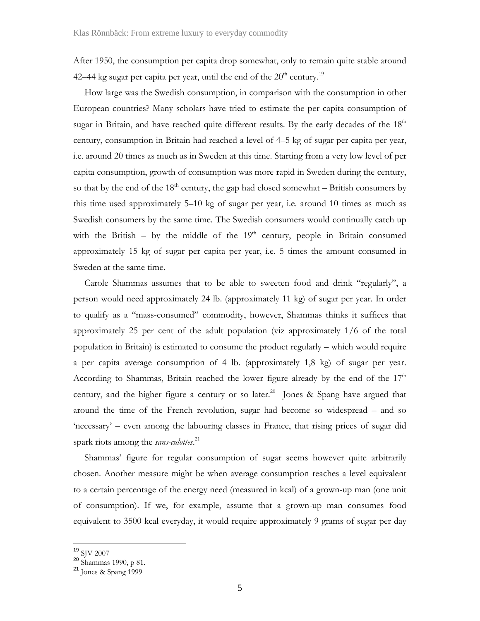After 1950, the consumption per capita drop somewhat, only to remain quite stable around 42–44 kg sugar per capita per year, until the end of the  $20<sup>th</sup>$  century.<sup>19</sup>

How large was the Swedish consumption, in comparison with the consumption in other European countries? Many scholars have tried to estimate the per capita consumption of sugar in Britain, and have reached quite different results. By the early decades of the  $18<sup>th</sup>$ century, consumption in Britain had reached a level of 4–5 kg of sugar per capita per year, i.e. around 20 times as much as in Sweden at this time. Starting from a very low level of per capita consumption, growth of consumption was more rapid in Sweden during the century, so that by the end of the  $18<sup>th</sup>$  century, the gap had closed somewhat – British consumers by this time used approximately 5–10 kg of sugar per year, i.e. around 10 times as much as Swedish consumers by the same time. The Swedish consumers would continually catch up with the British – by the middle of the  $19<sup>th</sup>$  century, people in Britain consumed approximately 15 kg of sugar per capita per year, i.e. 5 times the amount consumed in Sweden at the same time.

Carole Shammas assumes that to be able to sweeten food and drink "regularly", a person would need approximately 24 lb. (approximately 11 kg) of sugar per year. In order to qualify as a "mass-consumed" commodity, however, Shammas thinks it suffices that approximately 25 per cent of the adult population (viz approximately 1/6 of the total population in Britain) is estimated to consume the product regularly – which would require a per capita average consumption of 4 lb. (approximately 1,8 kg) of sugar per year. According to Shammas, Britain reached the lower figure already by the end of the  $17<sup>th</sup>$ century, and the higher figure a century or so later.<sup>20</sup> Jones & Spang have argued that around the time of the French revolution, sugar had become so widespread – and so 'necessary' – even among the labouring classes in France, that rising prices of sugar did spark riots among the *sans-culottes*. 21

Shammas' figure for regular consumption of sugar seems however quite arbitrarily chosen. Another measure might be when average consumption reaches a level equivalent to a certain percentage of the energy need (measured in kcal) of a grown-up man (one unit of consumption). If we, for example, assume that a grown-up man consumes food equivalent to 3500 kcal everyday, it would require approximately 9 grams of sugar per day

 $^{19}$  SJV 2007

<sup>20</sup> SJ v 2007<br>
21 Shammas 1990, p 81.<br>
21 Jones & Spang 1999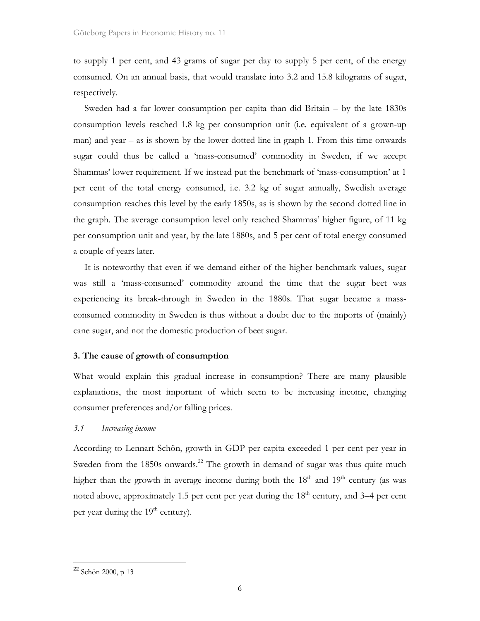to supply 1 per cent, and 43 grams of sugar per day to supply 5 per cent, of the energy consumed. On an annual basis, that would translate into 3.2 and 15.8 kilograms of sugar, respectively.

Sweden had a far lower consumption per capita than did Britain – by the late 1830s consumption levels reached 1.8 kg per consumption unit (i.e. equivalent of a grown-up man) and year – as is shown by the lower dotted line in graph 1. From this time onwards sugar could thus be called a 'mass-consumed' commodity in Sweden, if we accept Shammas' lower requirement. If we instead put the benchmark of 'mass-consumption' at 1 per cent of the total energy consumed, i.e. 3.2 kg of sugar annually, Swedish average consumption reaches this level by the early 1850s, as is shown by the second dotted line in the graph. The average consumption level only reached Shammas' higher figure, of 11 kg per consumption unit and year, by the late 1880s, and 5 per cent of total energy consumed a couple of years later.

It is noteworthy that even if we demand either of the higher benchmark values, sugar was still a 'mass-consumed' commodity around the time that the sugar beet was experiencing its break-through in Sweden in the 1880s. That sugar became a massconsumed commodity in Sweden is thus without a doubt due to the imports of (mainly) cane sugar, and not the domestic production of beet sugar.

#### **3. The cause of growth of consumption**

What would explain this gradual increase in consumption? There are many plausible explanations, the most important of which seem to be increasing income, changing consumer preferences and/or falling prices.

#### *3.1 Increasing income*

According to Lennart Schön, growth in GDP per capita exceeded 1 per cent per year in Sweden from the  $1850s$  onwards.<sup>22</sup> The growth in demand of sugar was thus quite much higher than the growth in average income during both the  $18<sup>th</sup>$  and  $19<sup>th</sup>$  century (as was noted above, approximately 1.5 per cent per year during the  $18<sup>th</sup>$  century, and 3–4 per cent per year during the  $19<sup>th</sup>$  century).

<sup>&</sup>lt;sup>22</sup> Schön 2000, p 13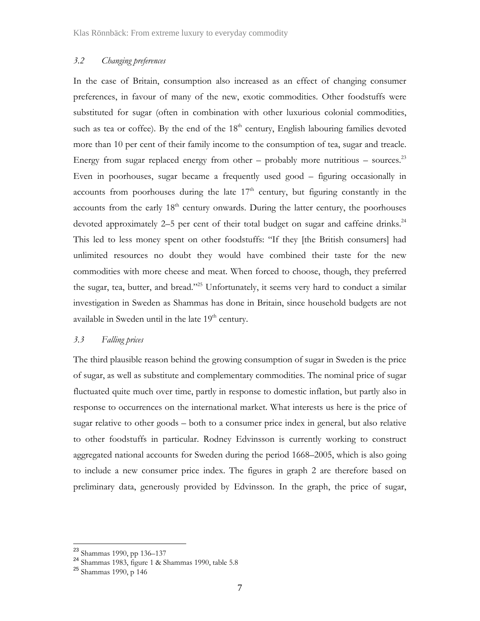## *3.2 Changing preferences*

In the case of Britain, consumption also increased as an effect of changing consumer preferences, in favour of many of the new, exotic commodities. Other foodstuffs were substituted for sugar (often in combination with other luxurious colonial commodities, such as tea or coffee). By the end of the  $18<sup>th</sup>$  century, English labouring families devoted more than 10 per cent of their family income to the consumption of tea, sugar and treacle. Energy from sugar replaced energy from other – probably more nutritious – sources.<sup>23</sup> Even in poorhouses, sugar became a frequently used good – figuring occasionally in accounts from poorhouses during the late  $17<sup>th</sup>$  century, but figuring constantly in the accounts from the early  $18<sup>th</sup>$  century onwards. During the latter century, the poorhouses devoted approximately 2–5 per cent of their total budget on sugar and caffeine drinks.<sup>24</sup> This led to less money spent on other foodstuffs: "If they [the British consumers] had unlimited resources no doubt they would have combined their taste for the new commodities with more cheese and meat. When forced to choose, though, they preferred the sugar, tea, butter, and bread."25 Unfortunately, it seems very hard to conduct a similar investigation in Sweden as Shammas has done in Britain, since household budgets are not available in Sweden until in the late  $19<sup>th</sup>$  century.

## *3.3 Falling prices*

The third plausible reason behind the growing consumption of sugar in Sweden is the price of sugar, as well as substitute and complementary commodities. The nominal price of sugar fluctuated quite much over time, partly in response to domestic inflation, but partly also in response to occurrences on the international market. What interests us here is the price of sugar relative to other goods – both to a consumer price index in general, but also relative to other foodstuffs in particular. Rodney Edvinsson is currently working to construct aggregated national accounts for Sweden during the period 1668–2005, which is also going to include a new consumer price index. The figures in graph 2 are therefore based on preliminary data, generously provided by Edvinsson. In the graph, the price of sugar,

<sup>&</sup>lt;sup>23</sup> Shammas 1990, pp 136-137

<sup>24</sup> Shammas 1983, figure 1 & Shammas 1990, table 5.8<br>25 Shammas 1990, p 146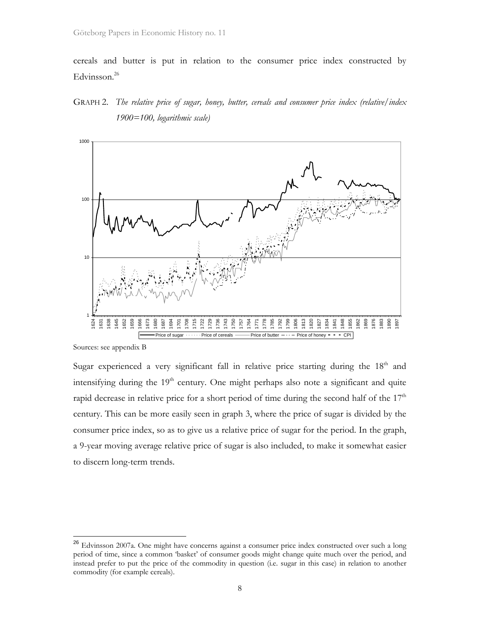cereals and butter is put in relation to the consumer price index constructed by Edvinsson.<sup>26</sup>

## GRAPH 2. *The relative price of sugar, honey, butter, cereals and consumer price index (relative/index 1900=100, logarithmic scale)*



Sources: see appendix B

 $\overline{a}$ 

Sugar experienced a very significant fall in relative price starting during the 18<sup>th</sup> and intensifying during the  $19<sup>th</sup>$  century. One might perhaps also note a significant and quite rapid decrease in relative price for a short period of time during the second half of the  $17<sup>th</sup>$ century. This can be more easily seen in graph 3, where the price of sugar is divided by the consumer price index, so as to give us a relative price of sugar for the period. In the graph, a 9-year moving average relative price of sugar is also included, to make it somewhat easier to discern long-term trends.

<sup>&</sup>lt;sup>26</sup> Edvinsson 2007a. One might have concerns against a consumer price index constructed over such a long period of time, since a common 'basket' of consumer goods might change quite much over the period, and instead prefer to put the price of the commodity in question (i.e. sugar in this case) in relation to another commodity (for example cereals).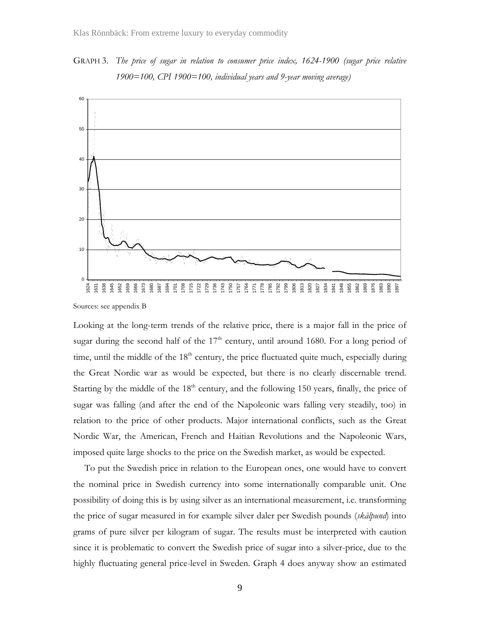GRAPH 3. *The price of sugar in relation to consumer price index, 1624-1900 (sugar price relative 1900=100, CPI 1900=100, individual years and 9-year moving average)*



Sources: see appendix B

Looking at the long-term trends of the relative price, there is a major fall in the price of sugar during the second half of the  $17<sup>th</sup>$  century, until around 1680. For a long period of time, until the middle of the  $18<sup>th</sup>$  century, the price fluctuated quite much, especially during the Great Nordic war as would be expected, but there is no clearly discernable trend. Starting by the middle of the  $18<sup>th</sup>$  century, and the following 150 years, finally, the price of sugar was falling (and after the end of the Napoleonic wars falling very steadily, too) in relation to the price of other products. Major international conflicts, such as the Great Nordic War, the American, French and Haitian Revolutions and the Napoleonic Wars, imposed quite large shocks to the price on the Swedish market, as would be expected.

To put the Swedish price in relation to the European ones, one would have to convert the nominal price in Swedish currency into some internationally comparable unit. One possibility of doing this is by using silver as an international measurement, i.e. transforming the price of sugar measured in for example silver daler per Swedish pounds (*skålpund*) into grams of pure silver per kilogram of sugar. The results must be interpreted with caution since it is problematic to convert the Swedish price of sugar into a silver-price, due to the highly fluctuating general price-level in Sweden. Graph 4 does anyway show an estimated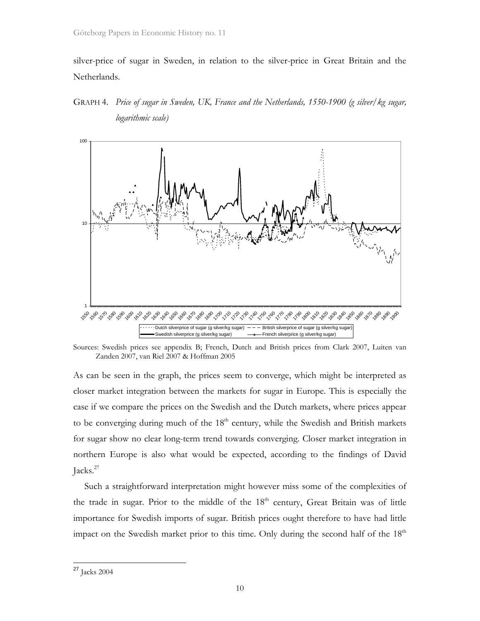silver-price of sugar in Sweden, in relation to the silver-price in Great Britain and the Netherlands.

# GRAPH 4. *Price of sugar in Sweden, UK, France and the Netherlands, 1550-1900 (g silver/kg sugar, logarithmic scale)*



Sources: Swedish prices see appendix B; French, Dutch and British prices from Clark 2007, Luiten van Zanden 2007, van Riel 2007 & Hoffman 2005

As can be seen in the graph, the prices seem to converge, which might be interpreted as closer market integration between the markets for sugar in Europe. This is especially the case if we compare the prices on the Swedish and the Dutch markets, where prices appear to be converging during much of the  $18<sup>th</sup>$  century, while the Swedish and British markets for sugar show no clear long-term trend towards converging. Closer market integration in northern Europe is also what would be expected, according to the findings of David Jacks.<sup>27</sup>

Such a straightforward interpretation might however miss some of the complexities of the trade in sugar. Prior to the middle of the  $18<sup>th</sup>$  century, Great Britain was of little importance for Swedish imports of sugar. British prices ought therefore to have had little impact on the Swedish market prior to this time. Only during the second half of the 18<sup>th</sup>

 $\overline{a}$ <sup>27</sup> Jacks 2004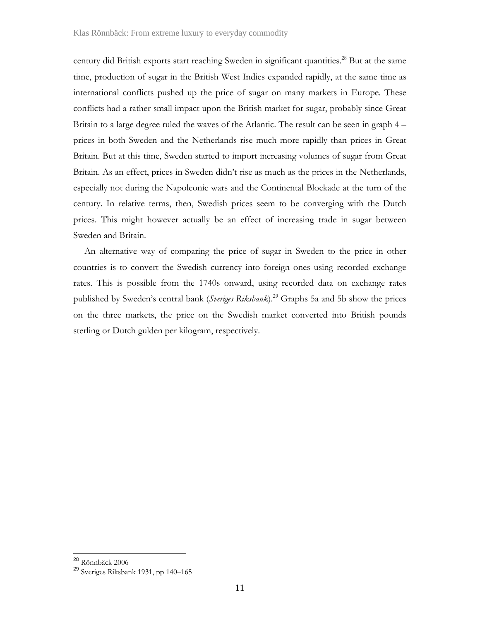century did British exports start reaching Sweden in significant quantities.<sup>28</sup> But at the same time, production of sugar in the British West Indies expanded rapidly, at the same time as international conflicts pushed up the price of sugar on many markets in Europe. These conflicts had a rather small impact upon the British market for sugar, probably since Great Britain to a large degree ruled the waves of the Atlantic. The result can be seen in graph 4 – prices in both Sweden and the Netherlands rise much more rapidly than prices in Great Britain. But at this time, Sweden started to import increasing volumes of sugar from Great Britain. As an effect, prices in Sweden didn't rise as much as the prices in the Netherlands, especially not during the Napoleonic wars and the Continental Blockade at the turn of the century. In relative terms, then, Swedish prices seem to be converging with the Dutch prices. This might however actually be an effect of increasing trade in sugar between Sweden and Britain.

An alternative way of comparing the price of sugar in Sweden to the price in other countries is to convert the Swedish currency into foreign ones using recorded exchange rates. This is possible from the 1740s onward, using recorded data on exchange rates published by Sweden's central bank (*Sveriges Riksbank*).<sup>29</sup> Graphs 5a and 5b show the prices on the three markets, the price on the Swedish market converted into British pounds sterling or Dutch gulden per kilogram, respectively.

<sup>28</sup> Rönnbäck 2006

<sup>29</sup> Sveriges Riksbank 1931, pp 140–165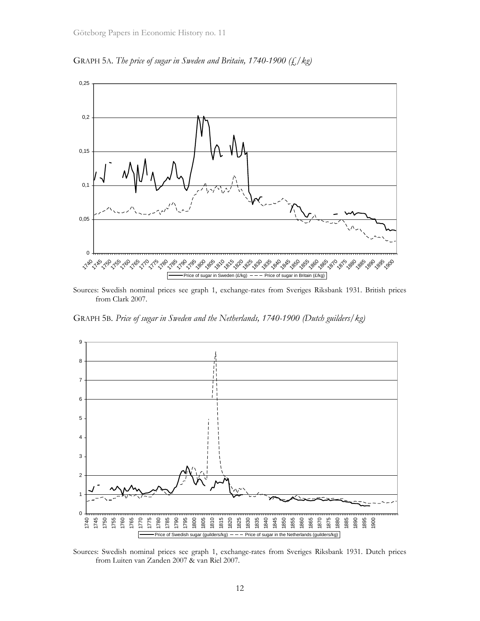GRAPH 5A. *The price of sugar in Sweden and Britain, 1740-1900 (£/kg)*



Sources: Swedish nominal prices see graph 1, exchange-rates from Sveriges Riksbank 1931. British prices from Clark 2007.

GRAPH 5B. *Price of sugar in Sweden and the Netherlands, 1740-1900 (Dutch guilders/kg)*



Sources: Swedish nominal prices see graph 1, exchange-rates from Sveriges Riksbank 1931. Dutch prices from Luiten van Zanden 2007 & van Riel 2007.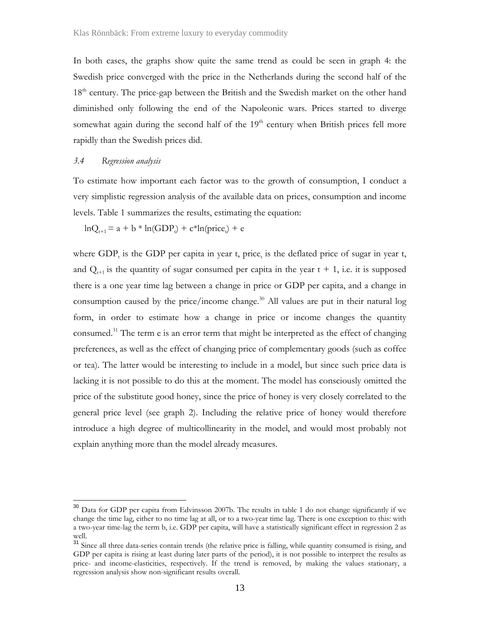In both cases, the graphs show quite the same trend as could be seen in graph 4: the Swedish price converged with the price in the Netherlands during the second half of the 18<sup>th</sup> century. The price-gap between the British and the Swedish market on the other hand diminished only following the end of the Napoleonic wars. Prices started to diverge somewhat again during the second half of the  $19<sup>th</sup>$  century when British prices fell more rapidly than the Swedish prices did.

## *3.4 Regression analysis*

 $\overline{a}$ 

To estimate how important each factor was to the growth of consumption, I conduct a very simplistic regression analysis of the available data on prices, consumption and income levels. Table 1 summarizes the results, estimating the equation:

$$
lnQ_{t+1} = a + b * ln(GDP_t) + c * ln(price_t) + e
$$

where  $GDP_t$  is the GDP per capita in year t, price, is the deflated price of sugar in year t, and  $Q_{t+1}$  is the quantity of sugar consumed per capita in the year  $t + 1$ , i.e. it is supposed there is a one year time lag between a change in price or GDP per capita, and a change in consumption caused by the price/income change.<sup>30</sup> All values are put in their natural log form, in order to estimate how a change in price or income changes the quantity consumed.<sup>31</sup> The term e is an error term that might be interpreted as the effect of changing preferences, as well as the effect of changing price of complementary goods (such as coffee or tea). The latter would be interesting to include in a model, but since such price data is lacking it is not possible to do this at the moment. The model has consciously omitted the price of the substitute good honey, since the price of honey is very closely correlated to the general price level (see graph 2). Including the relative price of honey would therefore introduce a high degree of multicollinearity in the model, and would most probably not explain anything more than the model already measures.

<sup>&</sup>lt;sup>30</sup> Data for GDP per capita from Edvinsson 2007b. The results in table 1 do not change significantly if we change the time lag, either to no time lag at all, or to a two-year time lag. There is one exception to this: with a two-year time-lag the term b, i.e. GDP per capita, will have a statistically significant effect in regression 2 as well.

<sup>&</sup>lt;sup>31</sup> Since all three data-series contain trends (the relative price is falling, while quantity consumed is rising, and GDP per capita is rising at least during later parts of the period), it is not possible to interpret the results as price- and income-elasticities, respectively. If the trend is removed, by making the values stationary, a regression analysis show non-significant results overall.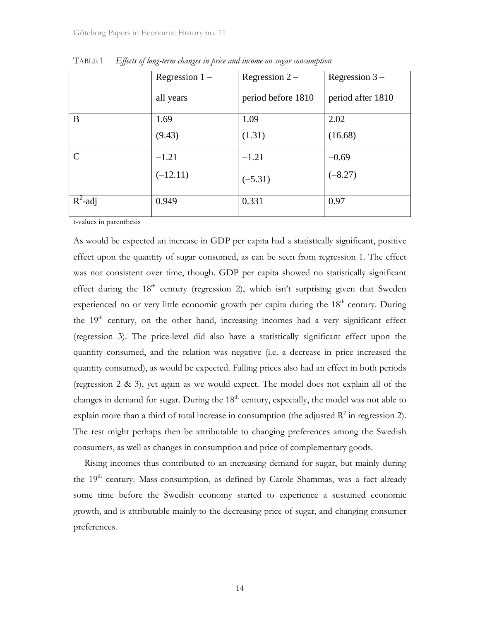|               | Regression $1 -$ | Regression $2 -$   | Regression $3-$   |  |
|---------------|------------------|--------------------|-------------------|--|
|               | all years        | period before 1810 | period after 1810 |  |
| B             | 1.69             | 1.09               | 2.02              |  |
|               | (9.43)           | (1.31)             | (16.68)           |  |
| $\mathcal{C}$ | $-1.21$          | $-1.21$            | $-0.69$           |  |
|               | $(-12.11)$       | $(-5.31)$          | $(-8.27)$         |  |
| $R^2$ -adj    | 0.949            | 0.331              | 0.97              |  |

TABLE 1 *Effects of long-term changes in price and income on sugar consumption* 

t-values in parenthesis

As would be expected an increase in GDP per capita had a statistically significant, positive effect upon the quantity of sugar consumed, as can be seen from regression 1. The effect was not consistent over time, though. GDP per capita showed no statistically significant effect during the  $18<sup>th</sup>$  century (regression 2), which isn't surprising given that Sweden experienced no or very little economic growth per capita during the  $18<sup>th</sup>$  century. During the  $19<sup>th</sup>$  century, on the other hand, increasing incomes had a very significant effect (regression 3). The price-level did also have a statistically significant effect upon the quantity consumed, and the relation was negative (i.e. a decrease in price increased the quantity consumed), as would be expected. Falling prices also had an effect in both periods (regression 2 & 3), yet again as we would expect. The model does not explain all of the changes in demand for sugar. During the 18<sup>th</sup> century, especially, the model was not able to explain more than a third of total increase in consumption (the adjusted  $\mathbb{R}^2$  in regression 2). The rest might perhaps then be attributable to changing preferences among the Swedish consumers, as well as changes in consumption and price of complementary goods.

Rising incomes thus contributed to an increasing demand for sugar, but mainly during the 19<sup>th</sup> century. Mass-consumption, as defined by Carole Shammas, was a fact already some time before the Swedish economy started to experience a sustained economic growth, and is attributable mainly to the decreasing price of sugar, and changing consumer preferences.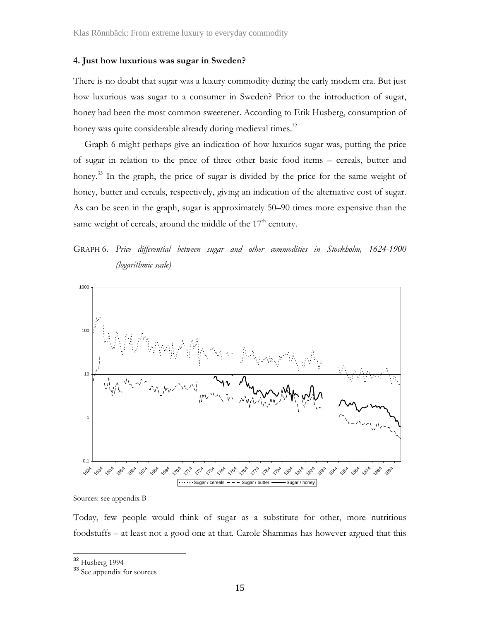### **4. Just how luxurious was sugar in Sweden?**

There is no doubt that sugar was a luxury commodity during the early modern era. But just how luxurious was sugar to a consumer in Sweden? Prior to the introduction of sugar, honey had been the most common sweetener. According to Erik Husberg, consumption of honey was quite considerable already during medieval times.<sup>32</sup>

Graph 6 might perhaps give an indication of how luxurios sugar was, putting the price of sugar in relation to the price of three other basic food items – cereals, butter and honey.<sup>33</sup> In the graph, the price of sugar is divided by the price for the same weight of honey, butter and cereals, respectively, giving an indication of the alternative cost of sugar. As can be seen in the graph, sugar is approximately 50–90 times more expensive than the same weight of cereals, around the middle of the  $17<sup>th</sup>$  century.





Sources: see appendix B

Today, few people would think of sugar as a substitute for other, more nutritious foodstuffs – at least not a good one at that. Carole Shammas has however argued that this

<sup>&</sup>lt;sup>32</sup> Husberg 1994

<sup>33</sup> See appendix for sources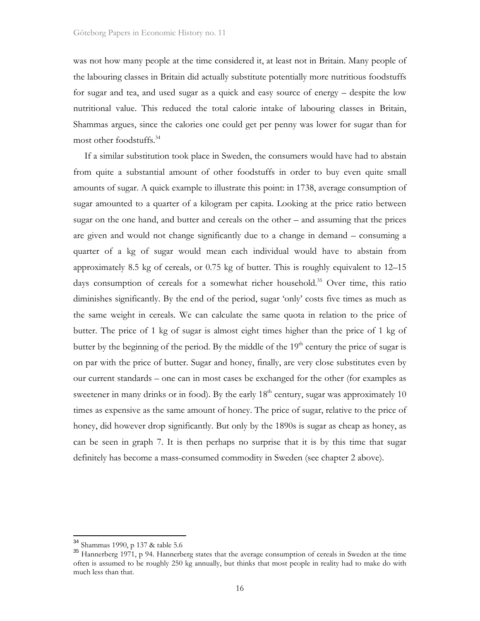was not how many people at the time considered it, at least not in Britain. Many people of the labouring classes in Britain did actually substitute potentially more nutritious foodstuffs for sugar and tea, and used sugar as a quick and easy source of energy – despite the low nutritional value. This reduced the total calorie intake of labouring classes in Britain, Shammas argues, since the calories one could get per penny was lower for sugar than for most other foodstuffs.34

If a similar substitution took place in Sweden, the consumers would have had to abstain from quite a substantial amount of other foodstuffs in order to buy even quite small amounts of sugar. A quick example to illustrate this point: in 1738, average consumption of sugar amounted to a quarter of a kilogram per capita. Looking at the price ratio between sugar on the one hand, and butter and cereals on the other – and assuming that the prices are given and would not change significantly due to a change in demand – consuming a quarter of a kg of sugar would mean each individual would have to abstain from approximately 8.5 kg of cereals, or 0.75 kg of butter. This is roughly equivalent to 12–15 days consumption of cereals for a somewhat richer household.<sup>35</sup> Over time, this ratio diminishes significantly. By the end of the period, sugar 'only' costs five times as much as the same weight in cereals. We can calculate the same quota in relation to the price of butter. The price of 1 kg of sugar is almost eight times higher than the price of 1 kg of butter by the beginning of the period. By the middle of the 19<sup>th</sup> century the price of sugar is on par with the price of butter. Sugar and honey, finally, are very close substitutes even by our current standards – one can in most cases be exchanged for the other (for examples as sweetener in many drinks or in food). By the early  $18<sup>th</sup>$  century, sugar was approximately 10 times as expensive as the same amount of honey. The price of sugar, relative to the price of honey, did however drop significantly. But only by the 1890s is sugar as cheap as honey, as can be seen in graph 7. It is then perhaps no surprise that it is by this time that sugar definitely has become a mass-consumed commodity in Sweden (see chapter 2 above).

<sup>&</sup>lt;sup>34</sup> Shammas 1990, p 137 & table 5.6

 $35$  Hannerberg 1971, p 94. Hannerberg states that the average consumption of cereals in Sweden at the time often is assumed to be roughly 250 kg annually, but thinks that most people in reality had to make do with much less than that.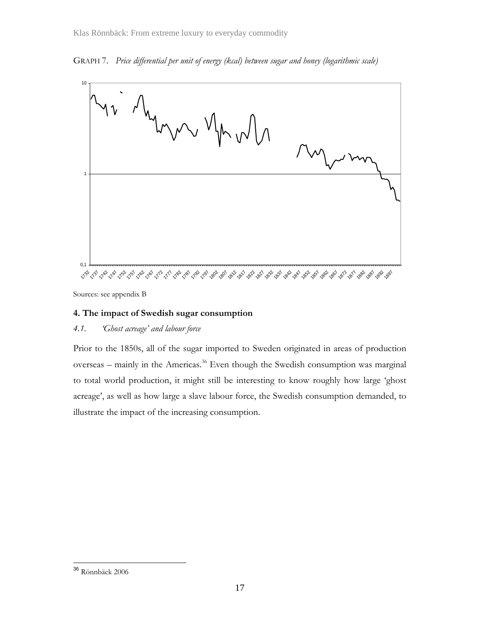GRAPH 7. *Price differential per unit of energy (kcal) between sugar and honey (logarithmic scale)*



Sources: see appendix B

## **4. The impact of Swedish sugar consumption**

## *4.1. 'Ghost acreage' and labour force*

Prior to the 1850s, all of the sugar imported to Sweden originated in areas of production overseas – mainly in the Americas.<sup>36</sup> Even though the Swedish consumption was marginal to total world production, it might still be interesting to know roughly how large 'ghost acreage', as well as how large a slave labour force, the Swedish consumption demanded, to illustrate the impact of the increasing consumption.

 $\overline{a}$ <sup>36</sup> Rönnbäck 2006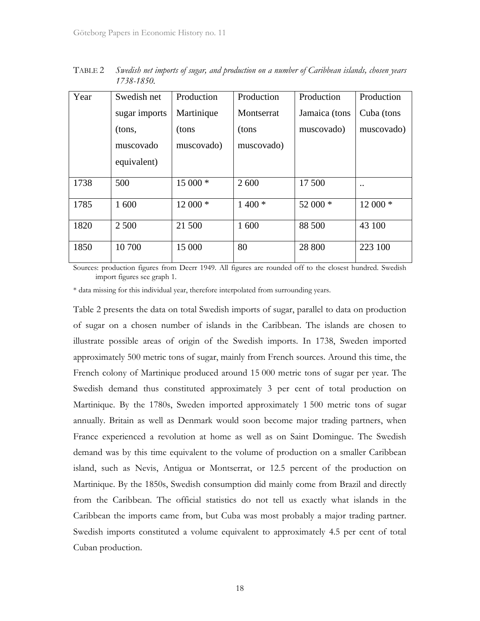| Year | Swedish net   | Production | Production | Production    | Production           |
|------|---------------|------------|------------|---------------|----------------------|
|      | sugar imports | Martinique | Montserrat | Jamaica (tons | Cuba (tons           |
|      | (tons,        | (tons      | (tons      | muscovado)    | muscovado)           |
|      | muscovado     | muscovado) | muscovado) |               |                      |
|      | equivalent)   |            |            |               |                      |
| 1738 | 500           | 15 000 *   | 2 600      | 17 500        | $\ddot{\phantom{0}}$ |
| 1785 | 1 600         | $12000*$   | $1400*$    | 52 000 *      | 12 000 *             |
| 1820 | 2 500         | 21 500     | 1 600      | 88 500        | 43 100               |
| 1850 | 10 700        | 15 000     | 80         | 28 800        | 223 100              |

TABLE 2 *Swedish net imports of sugar, and production on a number of Caribbean islands, chosen years 1738-1850.* 

Sources: production figures from Deerr 1949. All figures are rounded off to the closest hundred. Swedish import figures see graph 1.

\* data missing for this individual year, therefore interpolated from surrounding years.

Table 2 presents the data on total Swedish imports of sugar, parallel to data on production of sugar on a chosen number of islands in the Caribbean. The islands are chosen to illustrate possible areas of origin of the Swedish imports. In 1738, Sweden imported approximately 500 metric tons of sugar, mainly from French sources. Around this time, the French colony of Martinique produced around 15 000 metric tons of sugar per year. The Swedish demand thus constituted approximately 3 per cent of total production on Martinique. By the 1780s, Sweden imported approximately 1 500 metric tons of sugar annually. Britain as well as Denmark would soon become major trading partners, when France experienced a revolution at home as well as on Saint Domingue. The Swedish demand was by this time equivalent to the volume of production on a smaller Caribbean island, such as Nevis, Antigua or Montserrat, or 12.5 percent of the production on Martinique. By the 1850s, Swedish consumption did mainly come from Brazil and directly from the Caribbean. The official statistics do not tell us exactly what islands in the Caribbean the imports came from, but Cuba was most probably a major trading partner. Swedish imports constituted a volume equivalent to approximately 4.5 per cent of total Cuban production.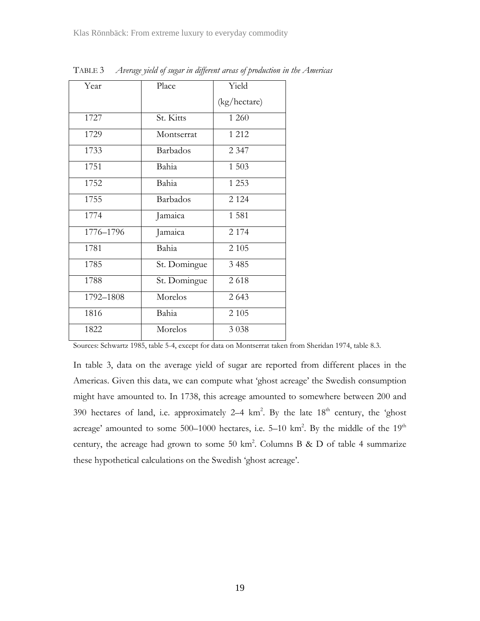| Year      | Place        | Yield        |  |
|-----------|--------------|--------------|--|
|           |              | (kg/hectare) |  |
| 1727      | St. Kitts    | 1 260        |  |
| 1729      | Montserrat   | 1 2 1 2      |  |
| 1733      | Barbados     | 2 3 4 7      |  |
| 1751      | Bahia        | 1 503        |  |
| 1752      | Bahia        | 1 2 5 3      |  |
| 1755      | Barbados     | 2 1 2 4      |  |
| 1774      | Jamaica      | 1 5 8 1      |  |
| 1776-1796 | Jamaica      | 2 1 7 4      |  |
| 1781      | Bahia        | 2 1 0 5      |  |
| 1785      | St. Domingue | 3 4 8 5      |  |
| 1788      | St. Domingue | 2618         |  |
| 1792-1808 | Morelos      | 2 6 4 3      |  |
| 1816      | Bahia        | 2 1 0 5      |  |
| 1822      | Morelos      | 3 0 38       |  |

TABLE 3 *Average yield of sugar in different areas of production in the Americas* 

Sources: Schwartz 1985, table 5-4, except for data on Montserrat taken from Sheridan 1974, table 8.3.

In table 3, data on the average yield of sugar are reported from different places in the Americas. Given this data, we can compute what 'ghost acreage' the Swedish consumption might have amounted to. In 1738, this acreage amounted to somewhere between 200 and 390 hectares of land, i.e. approximately  $2-4 \text{ km}^2$ . By the late  $18^{\text{th}}$  century, the 'ghost acreage' amounted to some 500–1000 hectares, i.e. 5–10 km<sup>2</sup>. By the middle of the 19<sup>th</sup> century, the acreage had grown to some 50  $km^2$ . Columns B & D of table 4 summarize these hypothetical calculations on the Swedish 'ghost acreage'.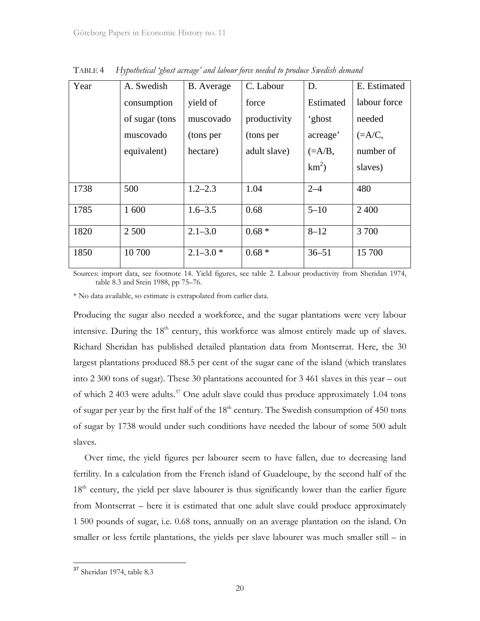| Year | A. Swedish     | B. Average   | C. Labour    | D.         | E. Estimated |
|------|----------------|--------------|--------------|------------|--------------|
|      | consumption    | yield of     | force        | Estimated  | labour force |
|      | of sugar (tons | muscovado    | productivity | 'ghost     | needed       |
|      | muscovado      | (tons per    | (tons per    | acreage'   | $(=\!A/C,$   |
|      | equivalent)    | hectare)     | adult slave) | $(=\!A/B,$ | number of    |
|      |                |              |              | $km^2$ )   | slaves)      |
| 1738 | 500            | $1.2 - 2.3$  | 1.04         | $2 - 4$    | 480          |
| 1785 | 1 600          | $1.6 - 3.5$  | 0.68         | $5 - 10$   | 2 4 0 0      |
| 1820 | 2 500          | $2.1 - 3.0$  | $0.68*$      | $8 - 12$   | 3 700        |
| 1850 | 10 700         | $2.1 - 3.0*$ | $0.68*$      | $36 - 51$  | 15 700       |

TABLE 4 *Hypothetical 'ghost acreage' and labour force needed to produce Swedish demand* 

Sources: import data, see footnote 14. Yield figures, see table 2. Labour productivity from Sheridan 1974, table 8.3 and Stein 1988, pp 75–76.

\* No data available, so estimate is extrapolated from earlier data.

Producing the sugar also needed a workforce, and the sugar plantations were very labour intensive. During the  $18<sup>th</sup>$  century, this workforce was almost entirely made up of slaves. Richard Sheridan has published detailed plantation data from Montserrat. Here, the 30 largest plantations produced 88.5 per cent of the sugar cane of the island (which translates into 2 300 tons of sugar). These 30 plantations accounted for 3 461 slaves in this year – out of which  $2\,403$  were adults.<sup>37</sup> One adult slave could thus produce approximately 1.04 tons of sugar per year by the first half of the 18<sup>th</sup> century. The Swedish consumption of 450 tons of sugar by 1738 would under such conditions have needed the labour of some 500 adult slaves.

Over time, the yield figures per labourer seem to have fallen, due to decreasing land fertility. In a calculation from the French island of Guadeloupe, by the second half of the  $18<sup>th</sup>$  century, the yield per slave labourer is thus significantly lower than the earlier figure from Montserrat – here it is estimated that one adult slave could produce approximately 1 500 pounds of sugar, i.e. 0.68 tons, annually on an average plantation on the island. On smaller or less fertile plantations, the yields per slave labourer was much smaller still – in

<sup>&</sup>lt;sup>37</sup> Sheridan 1974, table 8.3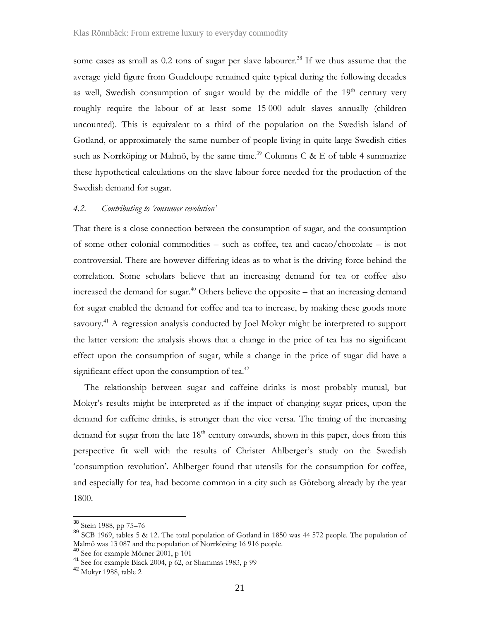some cases as small as  $0.2$  tons of sugar per slave labourer.<sup>38</sup> If we thus assume that the average yield figure from Guadeloupe remained quite typical during the following decades as well, Swedish consumption of sugar would by the middle of the  $19<sup>th</sup>$  century very roughly require the labour of at least some 15 000 adult slaves annually (children uncounted). This is equivalent to a third of the population on the Swedish island of Gotland, or approximately the same number of people living in quite large Swedish cities such as Norrköping or Malmö, by the same time.<sup>39</sup> Columns C & E of table 4 summarize these hypothetical calculations on the slave labour force needed for the production of the Swedish demand for sugar.

#### *4.2. Contributing to 'consumer revolution'*

That there is a close connection between the consumption of sugar, and the consumption of some other colonial commodities – such as coffee, tea and cacao/chocolate – is not controversial. There are however differing ideas as to what is the driving force behind the correlation. Some scholars believe that an increasing demand for tea or coffee also increased the demand for sugar.<sup>40</sup> Others believe the opposite – that an increasing demand for sugar enabled the demand for coffee and tea to increase, by making these goods more savoury.<sup>41</sup> A regression analysis conducted by Joel Mokyr might be interpreted to support the latter version: the analysis shows that a change in the price of tea has no significant effect upon the consumption of sugar, while a change in the price of sugar did have a significant effect upon the consumption of tea. $42$ 

The relationship between sugar and caffeine drinks is most probably mutual, but Mokyr's results might be interpreted as if the impact of changing sugar prices, upon the demand for caffeine drinks, is stronger than the vice versa. The timing of the increasing demand for sugar from the late  $18<sup>th</sup>$  century onwards, shown in this paper, does from this perspective fit well with the results of Christer Ahlberger's study on the Swedish 'consumption revolution'. Ahlberger found that utensils for the consumption for coffee, and especially for tea, had become common in a city such as Göteborg already by the year 1800.

<sup>&</sup>lt;sup>38</sup> Stein 1988, pp 75-76

 $39$  SCB 1969, tables 5 & 12. The total population of Gotland in 1850 was 44 572 people. The population of Malmö was 13 087 and the population of Norrköping 16 916 people.

<sup>&</sup>lt;sup>40</sup> See for example Mörner 2001, p 101<br><sup>41</sup> See for example Black 2004, p 62, or Shammas 1983, p 99<br><sup>42</sup> Mokyr 1988, table 2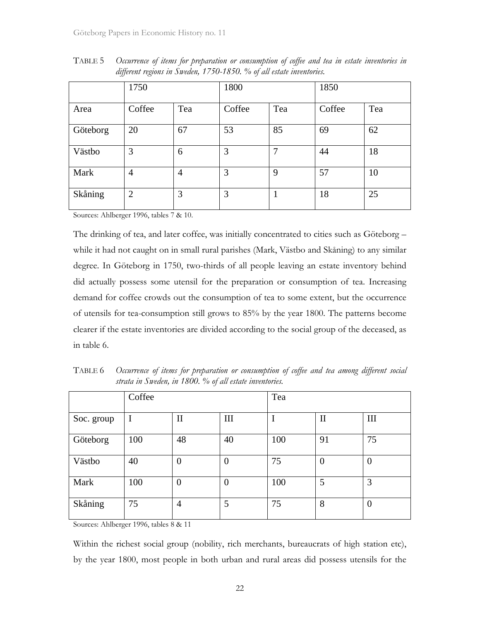|          | 1750           |                | 1800   |     | 1850   |     |
|----------|----------------|----------------|--------|-----|--------|-----|
| Area     | Coffee         | Tea            | Coffee | Tea | Coffee | Tea |
| Göteborg | 20             | 67             | 53     | 85  | 69     | 62  |
| Västbo   | 3              | 6              | 3      | 7   | 44     | 18  |
| Mark     | 4              | $\overline{4}$ | 3      | 9   | 57     | 10  |
| Skåning  | $\overline{2}$ | 3              | 3      |     | 18     | 25  |

TABLE 5 *Occurrence of items for preparation or consumption of coffee and tea in estate inventories in different regions in Sweden, 1750-1850. % of all estate inventories.* 

Sources: Ahlberger 1996, tables 7 & 10.

The drinking of tea, and later coffee, was initially concentrated to cities such as Göteborg – while it had not caught on in small rural parishes (Mark, Västbo and Skåning) to any similar degree. In Göteborg in 1750, two-thirds of all people leaving an estate inventory behind did actually possess some utensil for the preparation or consumption of tea. Increasing demand for coffee crowds out the consumption of tea to some extent, but the occurrence of utensils for tea-consumption still grows to 85% by the year 1800. The patterns become clearer if the estate inventories are divided according to the social group of the deceased, as in table 6.

Coffee Tea Soc. group I II III I II III Göteborg 100 148 140 100 91 75

Västbo | 40 | 0 | 0 | 75 | 0 | 0

Mark | 100 | 0 | 0 | 100 | 5 | 3

Skåning | 75 | 4 | 5 | 75 | 8 | 0

TABLE 6 *Occurrence of items for preparation or consumption of coffee and tea among different social strata in Sweden, in 1800. % of all estate inventories.* 

Sources: Ahlberger 1996, tables 8 & 11

Within the richest social group (nobility, rich merchants, bureaucrats of high station etc), by the year 1800, most people in both urban and rural areas did possess utensils for the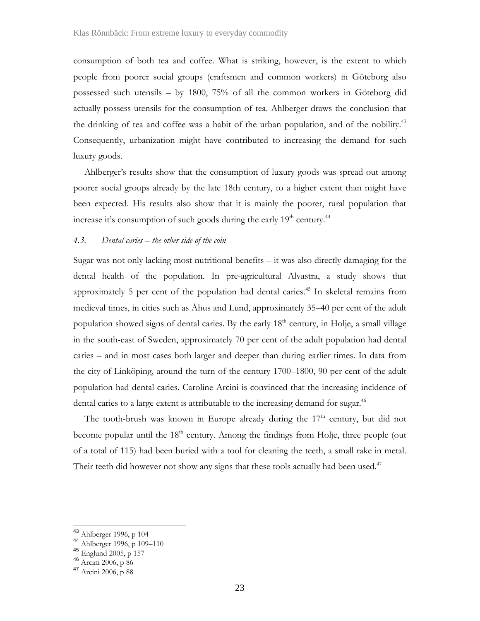consumption of both tea and coffee. What is striking, however, is the extent to which people from poorer social groups (craftsmen and common workers) in Göteborg also possessed such utensils – by 1800, 75% of all the common workers in Göteborg did actually possess utensils for the consumption of tea. Ahlberger draws the conclusion that the drinking of tea and coffee was a habit of the urban population, and of the nobility.<sup>43</sup> Consequently, urbanization might have contributed to increasing the demand for such luxury goods.

Ahlberger's results show that the consumption of luxury goods was spread out among poorer social groups already by the late 18th century, to a higher extent than might have been expected. His results also show that it is mainly the poorer, rural population that increase it's consumption of such goods during the early  $19<sup>th</sup>$  century.<sup>44</sup>

## *4.3. Dental caries – the other side of the coin*

Sugar was not only lacking most nutritional benefits – it was also directly damaging for the dental health of the population. In pre-agricultural Alvastra, a study shows that approximately 5 per cent of the population had dental caries.<sup>45</sup> In skeletal remains from medieval times, in cities such as Åhus and Lund, approximately 35–40 per cent of the adult population showed signs of dental caries. By the early  $18<sup>th</sup>$  century, in Holje, a small village in the south-east of Sweden, approximately 70 per cent of the adult population had dental caries – and in most cases both larger and deeper than during earlier times. In data from the city of Linköping, around the turn of the century 1700–1800, 90 per cent of the adult population had dental caries. Caroline Arcini is convinced that the increasing incidence of dental caries to a large extent is attributable to the increasing demand for sugar.<sup>46</sup>

The tooth-brush was known in Europe already during the  $17<sup>th</sup>$  century, but did not become popular until the 18<sup>th</sup> century. Among the findings from Holje, three people (out of a total of 115) had been buried with a tool for cleaning the teeth, a small rake in metal. Their teeth did however not show any signs that these tools actually had been used. $47$ 

<sup>43</sup> Ahlberger 1996, p 104<br>44 Ahlberger 1996, p 109–110<br>45 Englund 2005, p 157<br>46 Arcini 2006, p 86<br>47 Arcini 2006, p 88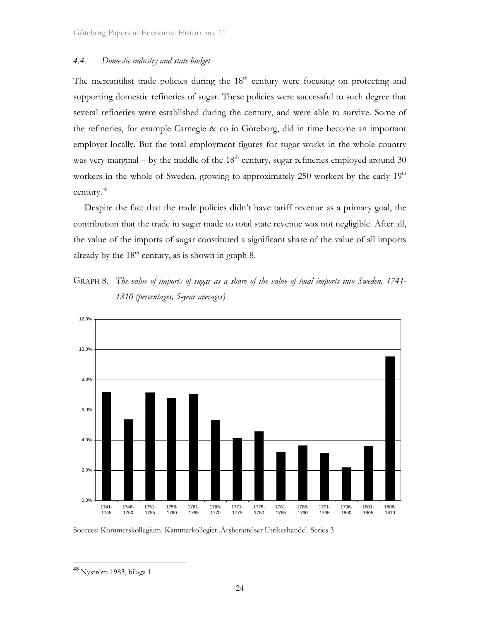## *4.4. Domestic industry and state budget*

The mercantilist trade policies during the  $18<sup>th</sup>$  century were focusing on protecting and supporting domestic refineries of sugar. These policies were successful to such degree that several refineries were established during the century, and were able to survive. Some of the refineries, for example Carnegie & co in Göteborg, did in time become an important employer locally. But the total employment figures for sugar works in the whole country was very marginal – by the middle of the  $18<sup>th</sup>$  century, sugar refineries employed around 30 workers in the whole of Sweden, growing to approximately 250 workers by the early  $19<sup>th</sup>$ century.48

Despite the fact that the trade policies didn't have tariff revenue as a primary goal, the contribution that the trade in sugar made to total state revenue was not negligible. After all, the value of the imports of sugar constituted a significant share of the value of all imports already by the  $18<sup>th</sup>$  century, as is shown in graph 8.

GRAPH 8. *The value of imports of sugar as a share of the value of total imports into Sweden, 1741- 1810 (percentages, 5-year averages)*



Sources: Kommerskollegium. Kammarkollegiet .Årsberättelser Utrikeshandel. Series 3

<sup>&</sup>lt;sup>48</sup> Nyström 1983, bilaga 1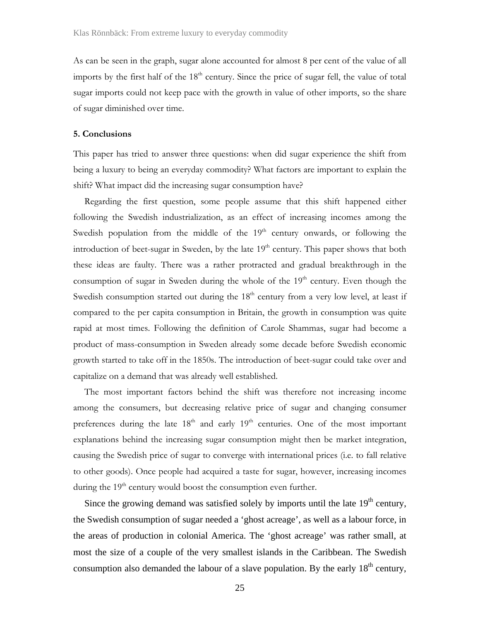As can be seen in the graph, sugar alone accounted for almost 8 per cent of the value of all imports by the first half of the  $18<sup>th</sup>$  century. Since the price of sugar fell, the value of total sugar imports could not keep pace with the growth in value of other imports, so the share of sugar diminished over time.

### **5. Conclusions**

This paper has tried to answer three questions: when did sugar experience the shift from being a luxury to being an everyday commodity? What factors are important to explain the shift? What impact did the increasing sugar consumption have?

Regarding the first question, some people assume that this shift happened either following the Swedish industrialization, as an effect of increasing incomes among the Swedish population from the middle of the  $19<sup>th</sup>$  century onwards, or following the introduction of beet-sugar in Sweden, by the late  $19<sup>th</sup>$  century. This paper shows that both these ideas are faulty. There was a rather protracted and gradual breakthrough in the consumption of sugar in Sweden during the whole of the 19<sup>th</sup> century. Even though the Swedish consumption started out during the  $18<sup>th</sup>$  century from a very low level, at least if compared to the per capita consumption in Britain, the growth in consumption was quite rapid at most times. Following the definition of Carole Shammas, sugar had become a product of mass-consumption in Sweden already some decade before Swedish economic growth started to take off in the 1850s. The introduction of beet-sugar could take over and capitalize on a demand that was already well established.

The most important factors behind the shift was therefore not increasing income among the consumers, but decreasing relative price of sugar and changing consumer preferences during the late  $18<sup>th</sup>$  and early  $19<sup>th</sup>$  centuries. One of the most important explanations behind the increasing sugar consumption might then be market integration, causing the Swedish price of sugar to converge with international prices (i.e. to fall relative to other goods). Once people had acquired a taste for sugar, however, increasing incomes during the 19<sup>th</sup> century would boost the consumption even further.

Since the growing demand was satisfied solely by imports until the late  $19<sup>th</sup>$  century, the Swedish consumption of sugar needed a 'ghost acreage', as well as a labour force, in the areas of production in colonial America. The 'ghost acreage' was rather small, at most the size of a couple of the very smallest islands in the Caribbean. The Swedish consumption also demanded the labour of a slave population. By the early  $18<sup>th</sup>$  century,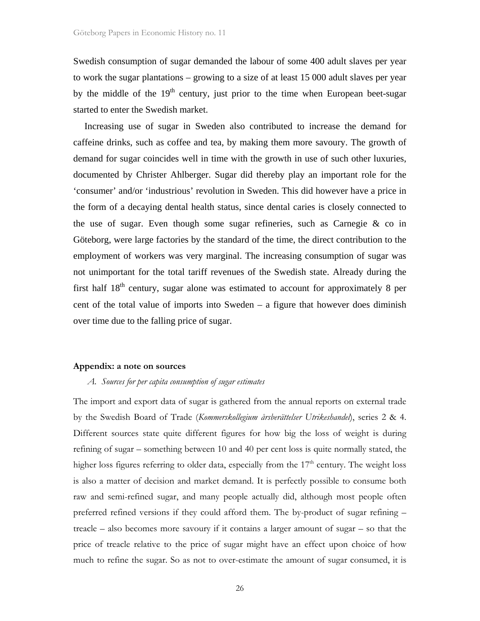Swedish consumption of sugar demanded the labour of some 400 adult slaves per year to work the sugar plantations – growing to a size of at least 15 000 adult slaves per year by the middle of the  $19<sup>th</sup>$  century, just prior to the time when European beet-sugar started to enter the Swedish market.

Increasing use of sugar in Sweden also contributed to increase the demand for caffeine drinks, such as coffee and tea, by making them more savoury. The growth of demand for sugar coincides well in time with the growth in use of such other luxuries, documented by Christer Ahlberger. Sugar did thereby play an important role for the 'consumer' and/or 'industrious' revolution in Sweden. This did however have a price in the form of a decaying dental health status, since dental caries is closely connected to the use of sugar. Even though some sugar refineries, such as Carnegie  $\&$  co in Göteborg, were large factories by the standard of the time, the direct contribution to the employment of workers was very marginal. The increasing consumption of sugar was not unimportant for the total tariff revenues of the Swedish state. Already during the first half  $18<sup>th</sup>$  century, sugar alone was estimated to account for approximately 8 per cent of the total value of imports into Sweden – a figure that however does diminish over time due to the falling price of sugar.

#### **Appendix: a note on sources**

#### *A. Sources for per capita consumption of sugar estimates*

The import and export data of sugar is gathered from the annual reports on external trade by the Swedish Board of Trade (*Kommerskollegium årsberättelser Utrikeshandel*), series 2 & 4. Different sources state quite different figures for how big the loss of weight is during refining of sugar – something between 10 and 40 per cent loss is quite normally stated, the higher loss figures referring to older data, especially from the  $17<sup>th</sup>$  century. The weight loss is also a matter of decision and market demand. It is perfectly possible to consume both raw and semi-refined sugar, and many people actually did, although most people often preferred refined versions if they could afford them. The by-product of sugar refining – treacle – also becomes more savoury if it contains a larger amount of sugar – so that the price of treacle relative to the price of sugar might have an effect upon choice of how much to refine the sugar. So as not to over-estimate the amount of sugar consumed, it is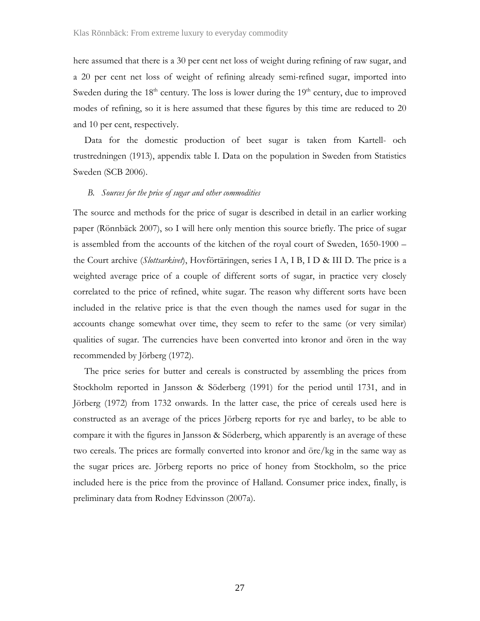here assumed that there is a 30 per cent net loss of weight during refining of raw sugar, and a 20 per cent net loss of weight of refining already semi-refined sugar, imported into Sweden during the  $18<sup>th</sup>$  century. The loss is lower during the  $19<sup>th</sup>$  century, due to improved modes of refining, so it is here assumed that these figures by this time are reduced to 20 and 10 per cent, respectively.

Data for the domestic production of beet sugar is taken from Kartell- och trustredningen (1913), appendix table I. Data on the population in Sweden from Statistics Sweden (SCB 2006).

#### *B. Sources for the price of sugar and other commodities*

The source and methods for the price of sugar is described in detail in an earlier working paper (Rönnbäck 2007), so I will here only mention this source briefly. The price of sugar is assembled from the accounts of the kitchen of the royal court of Sweden, 1650-1900 – the Court archive (*Slottsarkivet*), Hovförtäringen, series I A, I B, I D & III D. The price is a weighted average price of a couple of different sorts of sugar, in practice very closely correlated to the price of refined, white sugar. The reason why different sorts have been included in the relative price is that the even though the names used for sugar in the accounts change somewhat over time, they seem to refer to the same (or very similar) qualities of sugar. The currencies have been converted into kronor and ören in the way recommended by Jörberg (1972).

The price series for butter and cereals is constructed by assembling the prices from Stockholm reported in Jansson & Söderberg (1991) for the period until 1731, and in Jörberg (1972) from 1732 onwards. In the latter case, the price of cereals used here is constructed as an average of the prices Jörberg reports for rye and barley, to be able to compare it with the figures in Jansson & Söderberg, which apparently is an average of these two cereals. The prices are formally converted into kronor and öre/kg in the same way as the sugar prices are. Jörberg reports no price of honey from Stockholm, so the price included here is the price from the province of Halland. Consumer price index, finally, is preliminary data from Rodney Edvinsson (2007a).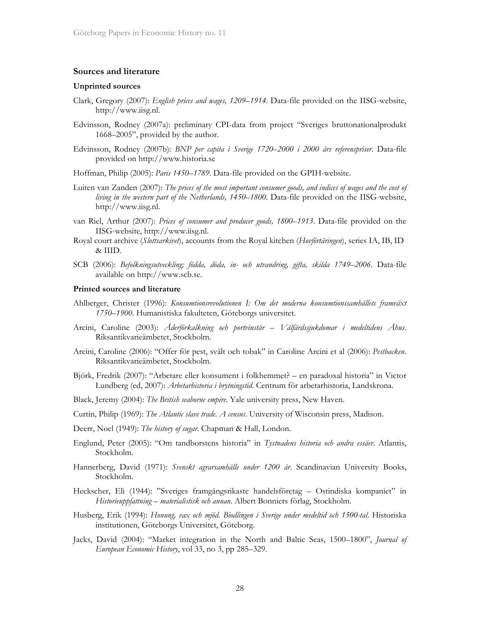#### **Sources and literature**

#### **Unprinted sources**

- Clark, Gregory (2007): *English prices and wages, 1209–1914*. Data-file provided on the IISG-website, http://www.iisg.nl.
- Edvinsson, Rodney (2007a): preliminary CPI-data from project "Sveriges bruttonationalprodukt 1668–2005", provided by the author.
- Edvinsson, Rodney (2007b): *BNP per capita i Sverige 1720–2000 i 2000 års referenspriser*. Data-file provided on http://www.historia.se
- Hoffman, Philip (2005): *Paris 1450–1789*. Data-file provided on the GPIH-website.
- Luiten van Zanden (2007): *The prices of the most important consumer goods, and indices of wages and the cost of living in the western part of the Netherlands, 1450–1800*. Data-file provided on the IISG-website, http://www.iisg.nl.
- van Riel, Arthur (2007): *Prices of consumer and producer goods, 1800–1913*. Data-file provided on the IISG-website, http://www.iisg.nl.
- Royal court archive (*Slottsarkivet*), accounts from the Royal kitchen (*Hovförtäringen*), series IA, IB, ID & IIID.
- SCB (2006): *Befolkningsutveckling; födda, döda, in- och utvandring, gifta, skilda 1749–2006*. Data-file available on http://www.scb.se.

#### **Printed sources and literature**

- Ahlberger, Christer (1996): *Konsumtionsrevolutionen I: Om det moderna konsumtionssamhällets framväxt 1750–1900*. Humanistiska fakulteten, Göteborgs universitet.
- Arcini, Caroline (2003): *Åderförkalkning och portvinstår Välfärdssjukdomar i medeltidens Åhus*. Riksantikvarieämbetet, Stockholm.
- Arcini, Caroline (2006): "Offer för pest, svält och tobak" in Caroline Arcini et al (2006): *Pestbacken*. Riksantikvarieämbetet, Stockholm.
- Björk, Fredrik (2007): "Arbetare eller konsument i folkhemmet? en paradoxal historia" in Victor Lundberg (ed, 2007): *Arbetarhistoria i brytningstid*. Centrum för arbetarhistoria, Landskrona.
- Black, Jeremy (2004): *The British seaborne empire*. Yale university press, New Haven.
- Curtin, Philip (1969): *The Atlantic slave trade. A census*. University of Wisconsin press, Madison.
- Deerr, Noel (1949): *The history of sugar*. Chapman & Hall, London.
- Englund, Peter (2005): "Om tandborstens historia" in *Tystnadens historia och andra essäer*. Atlantis, Stockholm.
- Hannerberg, David (1971): *Svenskt agrarsamhälle under 1200 år*. Scandinavian University Books, Stockholm.
- Heckscher, Eli (1944): "Sveriges framgångsrikaste handelsföretag Ostindiska kompaniet" in *Historieuppfattning – materialistisk och annan*. Albert Bonniers förlag, Stockholm.
- Husberg, Erik (1994): *Honung, vax och mjöd. Biodlingen i Sverige under medeltid och 1500-tal*. Historiska institutionen, Göteborgs Universitet, Göteborg.
- Jacks, David (2004): "Market integration in the North and Baltic Seas, 1500–1800", *Journal of European Economic History*, vol 33, no 3, pp 285–329.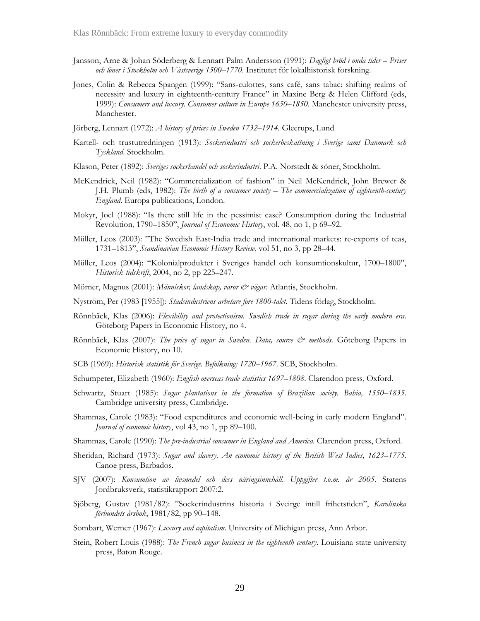- Jansson, Arne & Johan Söderberg & Lennart Palm Andersson (1991): *Dagligt bröd i onda tider Priser och löner i Stockholm och Västsverige 1500–1770*. Institutet för lokalhistorisk forskning.
- Jones, Colin & Rebecca Spangen (1999): "Sans-culottes, sans café, sans tabac: shifting realms of necessity and luxury in eighteenth-century France" in Maxine Berg & Helen Clifford (eds, 1999): *Consumers and luxury. Consumer culture in Europe 1650–1850*. Manchester university press, Manchester.
- Jörberg, Lennart (1972): *A history of prices in Sweden 1732–1914*. Gleerups, Lund
- Kartell- och trustutredningen (1913): *Sockerindustri och sockerbeskattning i Sverige samt Danmark och Tyskland*. Stockholm.
- Klason, Peter (1892): *Sveriges sockerhandel och sockerindustri*. P.A. Norstedt & söner, Stockholm.
- McKendrick, Neil (1982): "Commercialization of fashion" in Neil McKendrick, John Brewer & J.H. Plumb (eds, 1982): *The birth of a consumer society – The commercialization of eighteenth-century England*. Europa publications, London.
- Mokyr, Joel (1988): "Is there still life in the pessimist case? Consumption during the Industrial Revolution, 1790–1850", *Journal of Economic History*, vol. 48, no 1, p 69–92.
- Müller, Leos (2003): "The Swedish East-India trade and international markets: re-exports of teas, 1731–1813", *Scandinavian Economic History Review*, vol 51, no 3, pp 28–44.
- Müller, Leos (2004): "Kolonialprodukter i Sveriges handel och konsumtionskultur, 1700–1800", *Historisk tidskrift*, 2004, no 2, pp 225–247.
- Mörner, Magnus (2001): *Människor, landskap, varor & vägar*. Atlantis, Stockholm.
- Nyström, Per (1983 [1955]): *Stadsindustriens arbetare fore 1800-talet*. Tidens förlag, Stockholm.
- Rönnbäck, Klas (2006): *Flexibility and protectionism. Swedish trade in sugar during the early modern era*. Göteborg Papers in Economic History, no 4.
- Rönnbäck, Klas (2007): *The price of sugar in Sweden. Data, source & methods*. Göteborg Papers in Economic History, no 10.
- SCB (1969): *Historisk statistik för Sverige. Befolkning: 1720–1967*. SCB, Stockholm.
- Schumpeter, Elizabeth (1960): *English overseas trade statistics 1697–1808*. Clarendon press, Oxford.
- Schwartz, Stuart (1985): *Sugar plantations in the formation of Brazilian society. Bahia, 1550–1835*. Cambridge university press, Cambridge.
- Shammas, Carole (1983): "Food expenditures and economic well-being in early modern England". *Journal of economic history*, vol 43, no 1, pp 89–100.
- Shammas, Carole (1990): *The pre-industrial consumer in England and America*. Clarendon press, Oxford.
- Sheridan, Richard (1973): *Sugar and slavery. An economic history of the British West Indies, 1623–1775*. Canoe press, Barbados.
- SJV (2007): *Konsumtion av livsmedel och dess näringsinnehåll. Uppgifter t.o.m. år 2005*. Statens Jordbruksverk, statistikrapport 2007:2.
- Sjöberg, Gustav (1981/82): "Sockerindustrins historia i Sveirge intill frihetstiden", *Karolinska förbundets årsbok*, 1981/82, pp 90–148.
- Sombart, Werner (1967): *Luxury and capitalism*. University of Michigan press, Ann Arbor.
- Stein, Robert Louis (1988): *The French sugar business in the eighteenth century*. Louisiana state university press, Baton Rouge.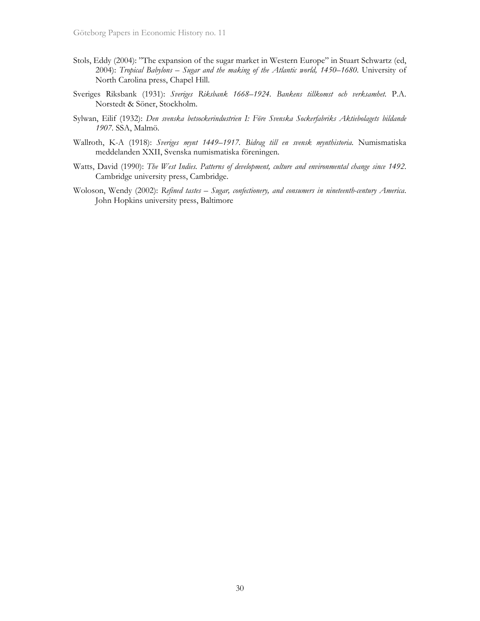- Stols, Eddy (2004): "The expansion of the sugar market in Western Europe" in Stuart Schwartz (ed, 2004): *Tropical Babylons – Sugar and the making of the Atlantic world, 1450–1680*. University of North Carolina press, Chapel Hill.
- Sveriges Riksbank (1931): *Sveriges Riksbank 1668–1924. Bankens tillkomst och verksamhet*. P.A. Norstedt & Söner, Stockholm.
- Sylwan, Eilif (1932): *Den svenska betsockerindustrien I: Före Svenska Sockerfabriks Aktiebolagets bildande 1907*. SSA, Malmö.
- Wallroth, K-A (1918): *Sveriges mynt 1449–1917. Bidrag till en svensk mynthistoria*. Numismatiska meddelanden XXII, Svenska numismatiska föreningen.
- Watts, David (1990): *The West Indies. Patterns of development, culture and environmental change since 1492*. Cambridge university press, Cambridge.
- Woloson, Wendy (2002): *Refined tastes Sugar, confectionery, and consumers in nineteenth-century America*. John Hopkins university press, Baltimore